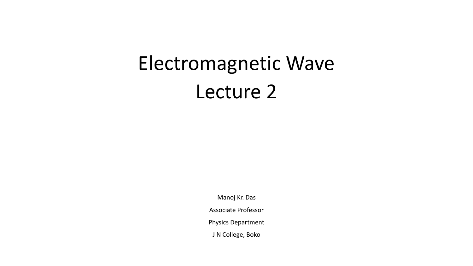# Electromagnetic Wave Lecture 2

Manoj Kr. Das

Associate Professor

Physics Department

J N College, Boko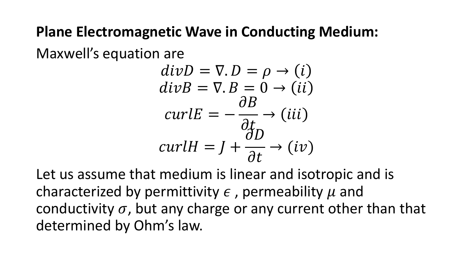#### **Plane Electromagnetic Wave in Conducting Medium:**

Maxwell's equation are

$$
divD = \nabla \cdot D = \rho \rightarrow (i)
$$
  
\n
$$
divB = \nabla \cdot B = 0 \rightarrow (ii)
$$
  
\n
$$
curlE = -\frac{\partial B}{\partial t} \rightarrow (iii)
$$
  
\n
$$
curlH = J + \frac{\partial D}{\partial t} \rightarrow (iv)
$$

Let us assume that medium is linear and isotropic and is characterized by permittivity  $\epsilon$ , permeability  $\mu$  and conductivity  $\sigma$ , but any charge or any current other than that determined by Ohm's law.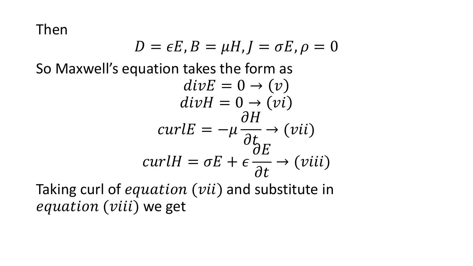Then

$$
D = \epsilon E, B = \mu H, J = \sigma E, \rho = 0
$$

So Maxwell's equation takes the form as

$$
divE = 0 \rightarrow (v)
$$
  
\n
$$
divH = 0 \rightarrow (vi)
$$
  
\n
$$
curlE = -\mu \frac{\partial H}{\partial t} \rightarrow (vii)
$$
  
\n
$$
curlH = \sigma E + \epsilon \frac{\partial E}{\partial t} \rightarrow (viii)
$$

Taking curl of equation (vii) and substitute in equation (viii) we get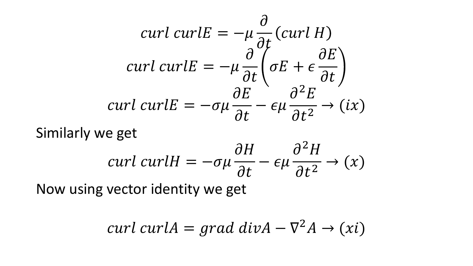$$
curl curl E = -\mu \frac{\partial}{\partial t} (curl H)
$$
  
curl curl E =  $-\mu \frac{\partial}{\partial t} \left( \sigma E + \epsilon \frac{\partial E}{\partial t} \right)$   
curl curl E =  $-\sigma \mu \frac{\partial E}{\partial t} - \epsilon \mu \frac{\partial^2 E}{\partial t^2} \rightarrow (ix)$ 

Similarly we get  
\n
$$
curl curlH = -\sigma\mu \frac{\partial H}{\partial t} - \epsilon\mu \frac{\partial^2 H}{\partial t^2} \rightarrow (x)
$$
\nNow, using vector identity, we get

Now using vector identity we get

$$
curl curl A = grad div A - \nabla^2 A \rightarrow (xi)
$$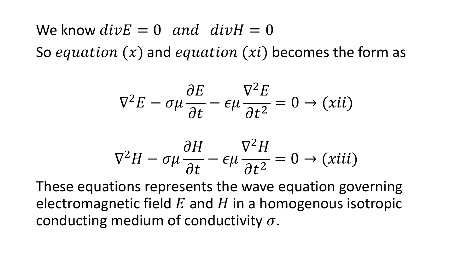We know  $div E = 0$  and  $div H = 0$ So equation  $(x)$  and equation  $(xi)$  becomes the form as

$$
\nabla^2 E - \sigma \mu \frac{\partial E}{\partial t} - \epsilon \mu \frac{\nabla^2 E}{\partial t^2} = 0 \rightarrow (xii)
$$

$$
\nabla^2 H - \sigma \mu \frac{\partial H}{\partial t} - \epsilon \mu \frac{\nabla^2 H}{\partial t^2} = 0 \rightarrow (xiii)
$$

These equations represents the wave equation governing electromagnetic field  $E$  and  $H$  in a homogenous isotropic conducting medium of conductivity  $\sigma$ .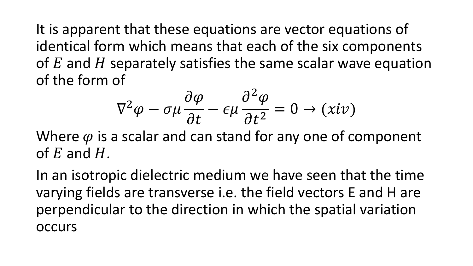It is apparent that these equations are vector equations of identical form which means that each of the six components of  $E$  and  $H$  separately satisfies the same scalar wave equation of the form of

$$
\nabla^2 \varphi - \sigma \mu \frac{\partial \varphi}{\partial t} - \epsilon \mu \frac{\partial^2 \varphi}{\partial t^2} = 0 \to (xiv)
$$

Where  $\varphi$  is a scalar and can stand for any one of component of  $E$  and  $H$ .

In an isotropic dielectric medium we have seen that the time varying fields are transverse i.e. the field vectors E and H are perpendicular to the direction in which the spatial variation **OCCULS**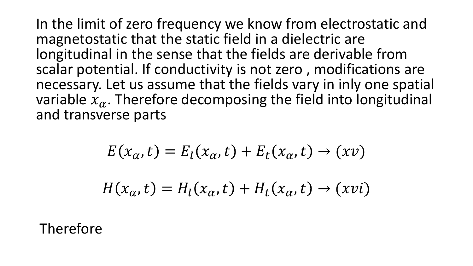In the limit of zero frequency we know from electrostatic and magnetostatic that the static field in a dielectric are longitudinal in the sense that the fields are derivable from scalar potential. If conductivity is not zero , modifications are necessary. Let us assume that the fields vary in inly one spatial variable  $x_{\alpha}$ . Therefore decomposing the field into longitudinal and transverse parts

$$
E(x_{\alpha}, t) = E_l(x_{\alpha}, t) + E_t(x_{\alpha}, t) \rightarrow (xv)
$$
  

$$
H(x_{\alpha}, t) = H_l(x_{\alpha}, t) + H_t(x_{\alpha}, t) \rightarrow (xvi)
$$

Therefore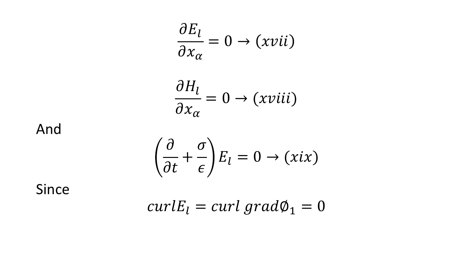$$
\frac{\partial E_l}{\partial x_\alpha} = 0 \to (xvii)
$$

$$
\frac{\partial H_l}{\partial x_\alpha} = 0 \to (xviii)
$$

And

$$
\left(\frac{\partial}{\partial t} + \frac{\sigma}{\epsilon}\right) E_l = 0 \to (xix)
$$

Since

$$
curl E_l = curl\ grad \phi_1 = 0
$$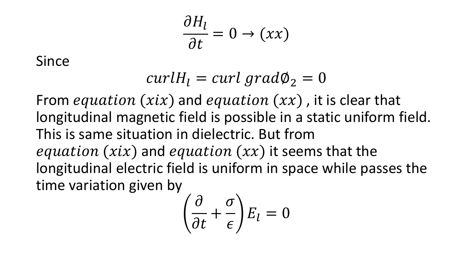$$
\frac{\partial H_l}{\partial t} = 0 \to (xx)
$$

Since

$$
curl H_l = curl\ grad\phi_2 = 0
$$

From *equation* ( $xix$ ) and *equation* ( $xx$ ), it is clear that longitudinal magnetic field is possible in a static uniform field. This is same situation in dielectric. But from equation (xix) and equation  $(xx)$  it seems that the longitudinal electric field is uniform in space while passes the time variation given by

$$
\left(\frac{\partial}{\partial t} + \frac{\sigma}{\epsilon}\right) E_l = 0
$$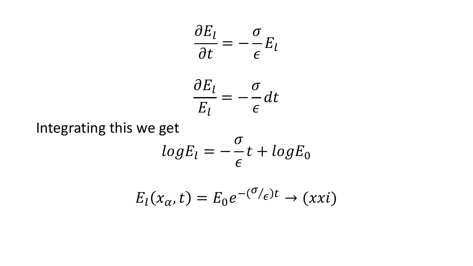$$
\frac{\partial E_l}{\partial t} = -\frac{\sigma}{\epsilon} E_l
$$

$$
\frac{\partial E_l}{E_l} = -\frac{\sigma}{\epsilon} dt
$$

Integrating this we get  $log E_l = -\frac{\sigma}{\epsilon}t + log E_0$ 

$$
E_l(x_\alpha, t) = E_0 e^{-(\sigma/\epsilon)t} \to (xxi)
$$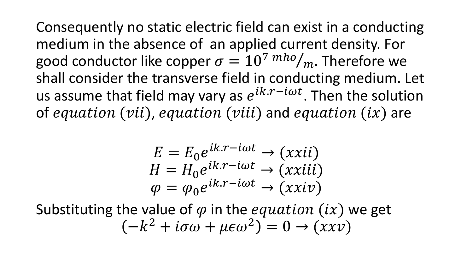Consequently no static electric field can exist in a conducting medium in the absence of an applied current density. For good conductor like copper  $\sigma = 10^{7}$   $^{mho}/_{m}$ . Therefore we shall consider the transverse field in conducting medium. Let us assume that field may vary as  $e^{ik.r-i\omega t}$ . Then the solution of equation (vii), equation (viii) and equation  $(ix)$  are

$$
E = E_0 e^{ik.r - i\omega t} \rightarrow (xxii)
$$
  
\n
$$
H = H_0 e^{ik.r - i\omega t} \rightarrow (xxiii)
$$
  
\n
$$
\varphi = \varphi_0 e^{ik.r - i\omega t} \rightarrow (xxiv)
$$

Substituting the value of  $\varphi$  in the *equation* (ix) we get  $-k^2 + i\sigma\omega + \mu\epsilon\omega^2$ ) = 0 → (xxv)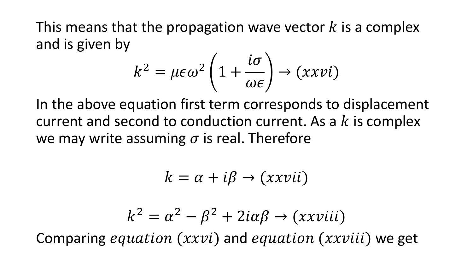This means that the propagation wave vector  $k$  is a complex and is given by

$$
k^2 = \mu \epsilon \omega^2 \left( 1 + \frac{i\sigma}{\omega \epsilon} \right) \rightarrow (xxvi)
$$

In the above equation first term corresponds to displacement current and second to conduction current. As a  $k$  is complex we may write assuming  $\sigma$  is real. Therefore

$$
k = \alpha + i\beta \rightarrow (xxvii)
$$

$$
k^2 = \alpha^2 - \beta^2 + 2i\alpha\beta \rightarrow (xxviii)
$$
  
Comparing *equation (xxvi) and equation (xxviii) we get*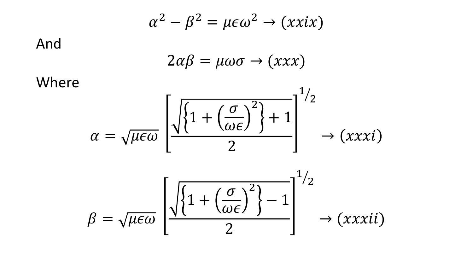And  
\n
$$
\alpha^{2} - \beta^{2} = \mu \epsilon \omega^{2} \rightarrow (xxix)
$$
\nWhere

\n
$$
\alpha = \sqrt{\mu \epsilon \omega} \left[ \frac{\sqrt{\left\{1 + \left(\frac{\sigma}{\omega \epsilon}\right)^{2}\right\} + 1}}{2} \right]^{1/2} \rightarrow (xxxi)
$$
\n
$$
\beta = \sqrt{\mu \epsilon \omega} \left[ \frac{\sqrt{\left\{1 + \left(\frac{\sigma}{\omega \epsilon}\right)^{2}\right\} - 1}}{2} \right]^{1/2} \rightarrow (xxxii)
$$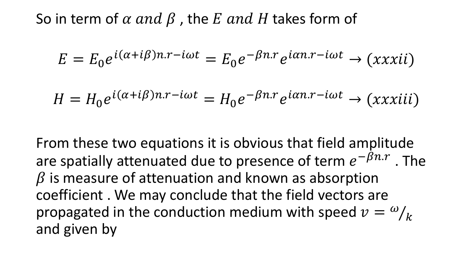So in term of  $\alpha$  and  $\beta$ , the E and H takes form of

$$
E = E_0 e^{i(\alpha + i\beta)n \cdot r - i\omega t} = E_0 e^{-\beta n \cdot r} e^{i\alpha n \cdot r - i\omega t} \to (xxxii)
$$

$$
H = H_0 e^{i(\alpha + i\beta)n \cdot r - i\omega t} = H_0 e^{-\beta n \cdot r} e^{i\alpha n \cdot r - i\omega t} \to (xxxiii)
$$

From these two equations it is obvious that field amplitude are spatially attenuated due to presence of term  $e^{-\beta n.r}$  . The  $\beta$  is measure of attenuation and known as absorption coefficient . We may conclude that the field vectors are propagated in the conduction medium with speed  $v = \omega / T$  $\boldsymbol{k}$ and given by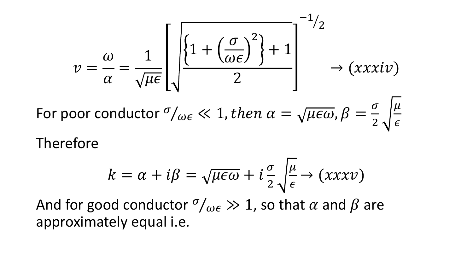$$
v = \frac{\omega}{\alpha} = \frac{1}{\sqrt{\mu \epsilon}} \left[ \sqrt{\frac{\left\{1 + \left(\frac{\sigma}{\omega \epsilon}\right)^2\right\} + 1}{2}} \right]^{-1/2} \rightarrow (xxxiv)
$$

For poor conductor  $\sigma/_{\omega \epsilon} \ll 1$ , then  $\alpha = \sqrt{\mu \epsilon \omega}$ ,  $\beta = \sqrt{\mu \epsilon \omega}$  $\sigma$ 2  $\mu$  $\epsilon$ Therefore

$$
k = \alpha + i\beta = \sqrt{\mu \epsilon \omega} + i\frac{\sigma}{2} \sqrt{\frac{\mu}{\epsilon}} \rightarrow (xxxv)
$$

And for good conductor  $\sigma/\omega_{\epsilon} \gg 1$ , so that  $\alpha$  and  $\beta$  are approximately equal i.e.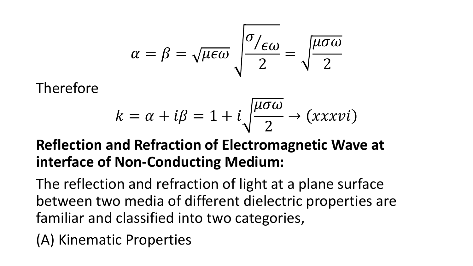$$
\alpha = \beta = \sqrt{\mu \epsilon \omega} \sqrt{\frac{\sigma_{/\epsilon \omega}}{2}} = \sqrt{\frac{\mu \sigma \omega}{2}}
$$

Therefore

$$
k = \alpha + i\beta = 1 + i\sqrt{\frac{\mu\sigma\omega}{2}} \rightarrow (xxxvi)
$$

#### **Reflection and Refraction of Electromagnetic Wave at interface of Non-Conducting Medium:**

The reflection and refraction of light at a plane surface between two media of different dielectric properties are familiar and classified into two categories,

(A) Kinematic Properties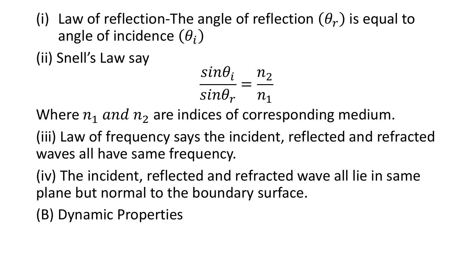(i) Law of reflection-The angle of reflection  $(\theta_r)$  is equal to angle of incidence  $(\theta_i)$ 

(ii) Snell's Law say

$$
\frac{\sin \theta_i}{\sin \theta_r} = \frac{n_2}{n_1}
$$

Where  $n_1$  and  $n_2$  are indices of corresponding medium.

(iii) Law of frequency says the incident, reflected and refracted waves all have same frequency.

(iv) The incident, reflected and refracted wave all lie in same plane but normal to the boundary surface.

(B) Dynamic Properties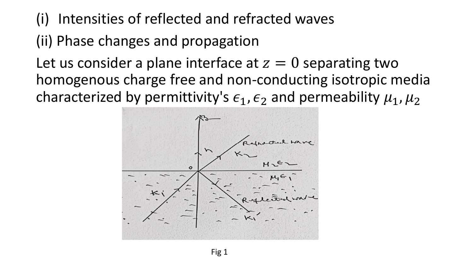### (i) Intensities of reflected and refracted waves

## (ii) Phase changes and propagation

Let us consider a plane interface at  $z = 0$  separating two homogenous charge free and non-conducting isotropic media characterized by permittivity's  $\epsilon_1$ ,  $\epsilon_2$  and permeability  $\mu_1$ ,  $\mu_2$ 

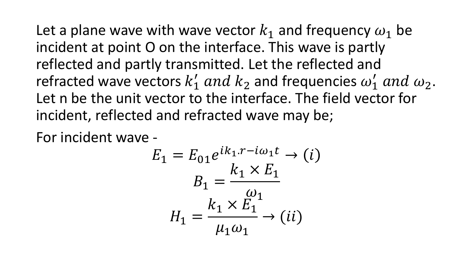Let a plane wave with wave vector  $k_1$  and frequency  $\omega_1$  be incident at point O on the interface. This wave is partly reflected and partly transmitted. Let the reflected and refracted wave vectors  $k'_1$  and  $k_2$  and frequencies  $\omega'_1$  and  $\omega_2$ . Let n be the unit vector to the interface. The field vector for incident, reflected and refracted wave may be;

For incident wave -

$$
E_1 = E_{01}e^{ik_1 \cdot r - i\omega_1 t} \rightarrow (i)
$$

$$
B_1 = \frac{k_1 \times E_1}{\omega_1}
$$

$$
H_1 = \frac{k_1 \times E_1}{\mu_1 \omega_1} \rightarrow (ii)
$$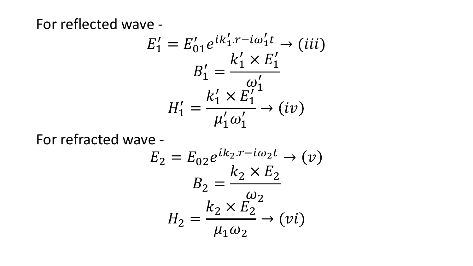For reflected wave -

$$
E'_1 = E'_{01}e^{ik'_1 \cdot r - i\omega'_1 t} \rightarrow (iii)
$$
  
\n
$$
B'_1 = \frac{k'_1 \times E'_1}{\omega'_1}
$$
  
\n
$$
H'_1 = \frac{k'_1 \times E'_1}{\mu'_1 \omega'_1} \rightarrow (iv)
$$

For refracted wave -

$$
E_2 = E_{02}e^{ik_2 \cdot r - i\omega_2 t} \rightarrow (v)
$$
  
\n
$$
B_2 = \frac{k_2 \times E_2}{\omega_2}
$$
  
\n
$$
H_2 = \frac{k_2 \times E_2}{\mu_1 \omega_2} \rightarrow (vi)
$$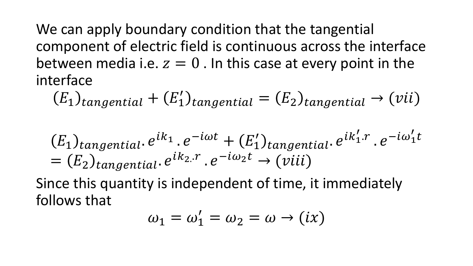We can apply boundary condition that the tangential component of electric field is continuous across the interface between media i.e.  $z = 0$ . In this case at every point in the interface

 $E_1$ )<sub>tangential</sub> +  $(E'_1)$ <sub>tangential</sub> =  $(E_2)$ <sub>tangential</sub> → (vii)

$$
(E_1)_{tangential} \cdot e^{ik_1} \cdot e^{-i\omega t} + (E'_1)_{tangential} \cdot e^{ik'_1 \cdot r} \cdot e^{-i\omega'_1 t}
$$
  
=  $(E_2)_{tangential} \cdot e^{ik_2 \cdot r} \cdot e^{-i\omega_2 t} \rightarrow (viii)$ 

Since this quantity is independent of time, it immediately follows that

$$
\omega_1 = \omega_1' = \omega_2 = \omega \to (ix)
$$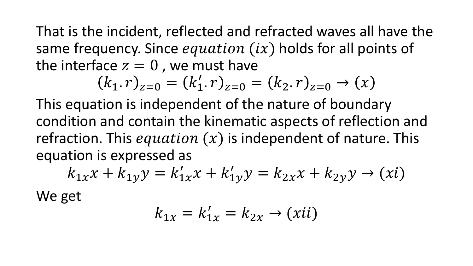That is the incident, reflected and refracted waves all have the same frequency. Since *equation*  $(ix)$  holds for all points of the interface  $z = 0$ , we must have

$$
(k_1 \cdot r)_{z=0} = (k'_1 \cdot r)_{z=0} = (k_2 \cdot r)_{z=0} \to (x)
$$

This equation is independent of the nature of boundary condition and contain the kinematic aspects of reflection and refraction. This *equation*  $(x)$  is independent of nature. This equation is expressed as

$$
k_{1x}x + k_{1y}y = k'_{1x}x + k'_{1y}y = k_{2x}x + k_{2y}y \to (xi)
$$

We get

$$
k_{1x} = k'_{1x} = k_{2x} \rightarrow (xii)
$$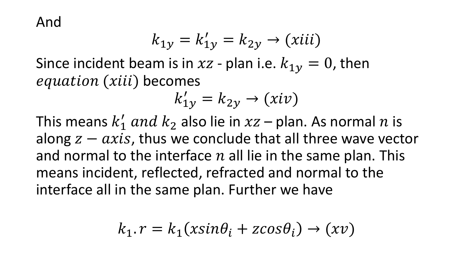And

$$
k_{1y} = k'_{1y} = k_{2y} \rightarrow (xiii)
$$

Since incident beam is in  $xz$  - plan i.e.  $k_{1y} = 0$ , then equation (xiii) becomes

$$
k'_{1y} = k_{2y} \rightarrow (xiv)
$$

This means  $k'_1$  and  $k_2$  also lie in  $xz$  – plan. As normal  $n$  is along  $z - axis$ , thus we conclude that all three wave vector and normal to the interface  $n$  all lie in the same plan. This means incident, reflected, refracted and normal to the interface all in the same plan. Further we have

$$
k_1 \cdot r = k_1(x \sin \theta_i + z \cos \theta_i) \rightarrow (x \nu)
$$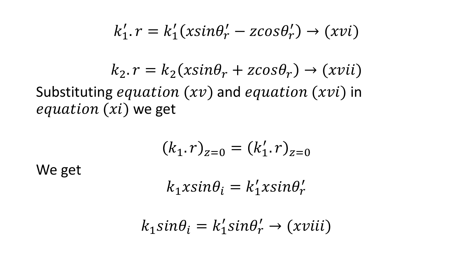$$
k'_1.r = k'_1(x sin \theta'_r - z cos \theta'_r) \rightarrow (x vi)
$$

$$
k_2.r = k_2(x sin \theta_r + z cos \theta_r) \rightarrow (x vii)
$$

Substituting *equation*  $(xv)$  and *equation*  $(xvi)$  in  $equation (xi)$  we get

$$
(k_1 \cdot r)_{z=0} = (k'_1 \cdot r)_{z=0}
$$

We get

$$
k_1 x sin \theta_i = k'_1 x sin \theta'_r
$$

$$
k_1 sin \theta_i = k'_1 sin \theta'_r \rightarrow (xviii)
$$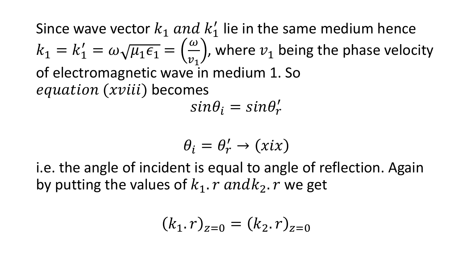Since wave vector  $k_1$  and  $k'_1$  lie in the same medium hence  $k_1 = k'_1 = \omega \sqrt{\mu_1 \epsilon_1} =$  $\omega$  $v_1$ , where  $v_1$  being the phase velocity of electromagnetic wave in medium 1. So equation (xviii) becomes

 $sin\theta_i = sin\theta'_r$ 

$$
\theta_i = \theta'_r \to (xix)
$$

i.e. the angle of incident is equal to angle of reflection. Again by putting the values of  $k_1$ .  $r$  and  $k_2$ .  $r$  we get

$$
(k_1 \cdot r)_{z=0} = (k_2 \cdot r)_{z=0}
$$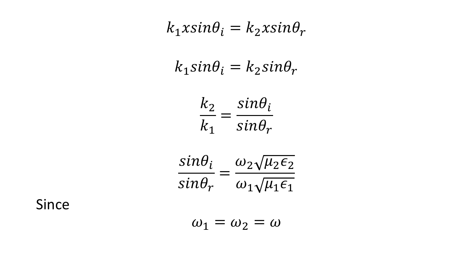$$
k_1 x \sin \theta_i = k_2 x \sin \theta_r
$$
  
\n
$$
k_1 \sin \theta_i = k_2 \sin \theta_r
$$
  
\n
$$
\frac{k_2}{k_1} = \frac{\sin \theta_i}{\sin \theta_r}
$$
  
\n
$$
\frac{\sin \theta_i}{\sin \theta_r} = \frac{\omega_2 \sqrt{\mu_2 \epsilon_2}}{\omega_1 \sqrt{\mu_1 \epsilon_1}}
$$
  
\n
$$
\omega_1 = \omega_2 = \omega
$$

Since